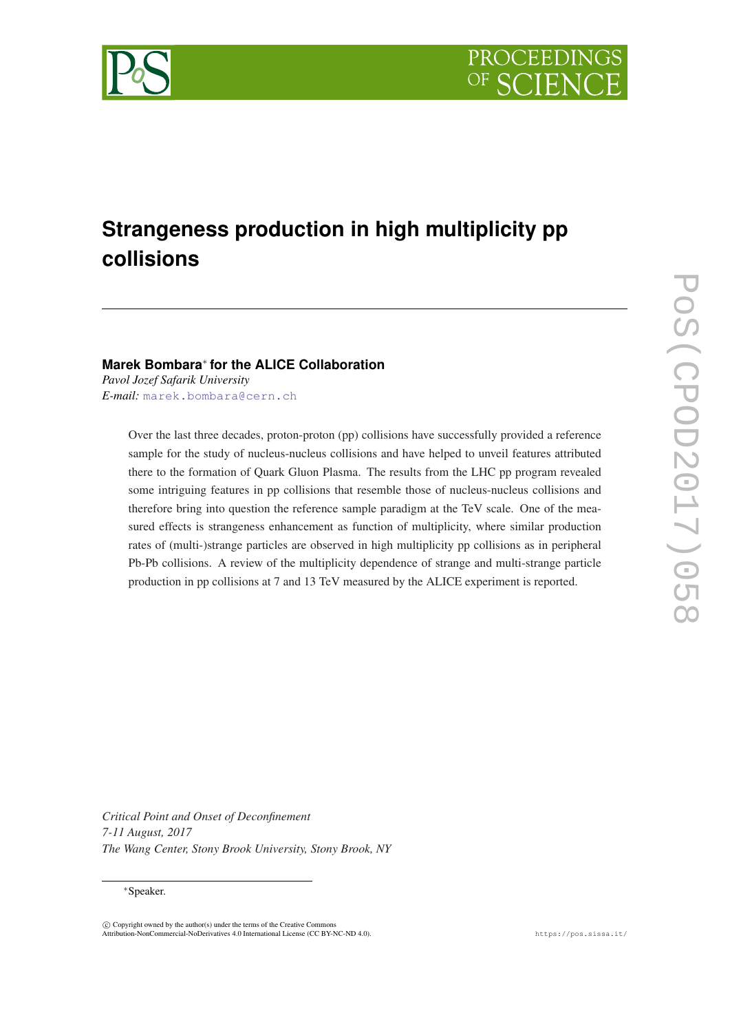

# **Strangeness production in high multiplicity pp collisions**

## **Marek Bombara**<sup>∗</sup> **for the ALICE Collaboration**

*Pavol Jozef Safarik University E-mail:* [marek.bombara@cern.ch](mailto:marek.bombara@cern.ch)

> Over the last three decades, proton-proton (pp) collisions have successfully provided a reference sample for the study of nucleus-nucleus collisions and have helped to unveil features attributed there to the formation of Quark Gluon Plasma. The results from the LHC pp program revealed some intriguing features in pp collisions that resemble those of nucleus-nucleus collisions and therefore bring into question the reference sample paradigm at the TeV scale. One of the measured effects is strangeness enhancement as function of multiplicity, where similar production rates of (multi-)strange particles are observed in high multiplicity pp collisions as in peripheral Pb-Pb collisions. A review of the multiplicity dependence of strange and multi-strange particle production in pp collisions at 7 and 13 TeV measured by the ALICE experiment is reported.

*Critical Point and Onset of Deconfinement 7-11 August, 2017 The Wang Center, Stony Brook University, Stony Brook, NY*

#### <sup>∗</sup>Speaker.

 $\overline{c}$  Copyright owned by the author(s) under the terms of the Creative Common Attribution-NonCommercial-NoDerivatives 4.0 International License (CC BY-NC-ND 4.0). https://pos.sissa.it/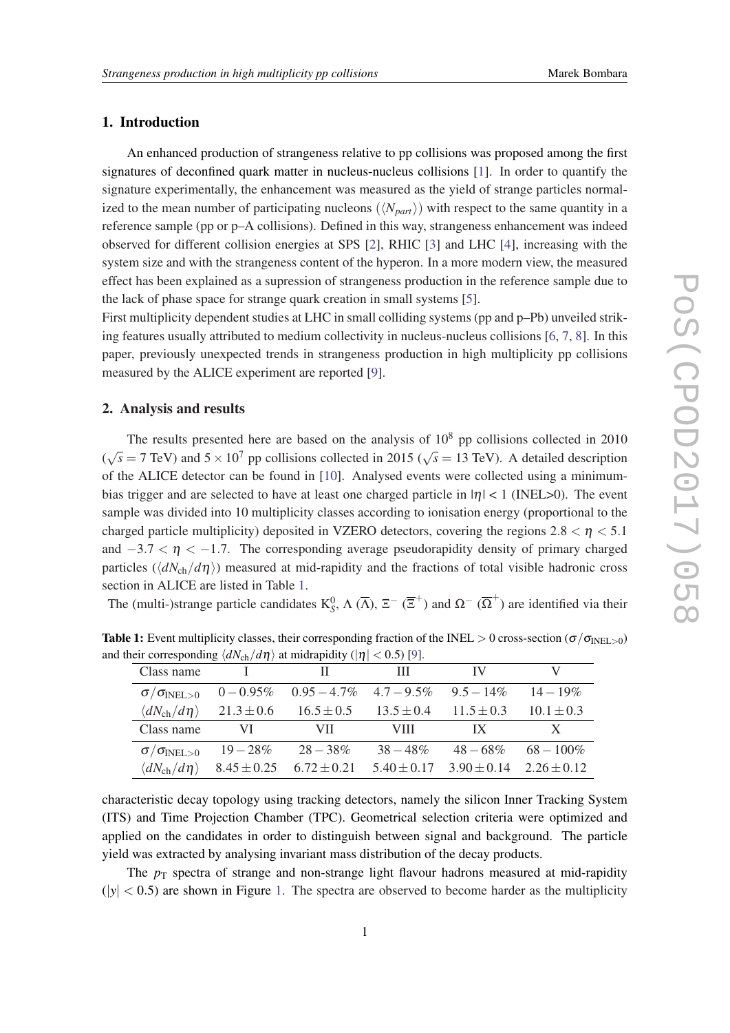## 1. Introduction

An enhanced production of strangeness relative to pp collisions was proposed among the first signatures of deconfined quark matter in nucleus-nucleus collisions [[1](#page-5-0)]. In order to quantify the signature experimentally, the enhancement was measured as the yield of strange particles normalized to the mean number of participating nucleons  $(N_{part})$  with respect to the same quantity in a reference sample (pp or p–A collisions). Defined in this way, strangeness enhancement was indeed observed for different collision energies at SPS [\[2\]](#page-5-0), RHIC [\[3\]](#page-5-0) and LHC [\[4\]](#page-5-0), increasing with the system size and with the strangeness content of the hyperon. In a more modern view, the measured effect has been explained as a supression of strangeness production in the reference sample due to the lack of phase space for strange quark creation in small systems [\[5\]](#page-5-0).

First multiplicity dependent studies at LHC in small colliding systems (pp and p–Pb) unveiled striking features usually attributed to medium collectivity in nucleus-nucleus collisions [[6](#page-5-0), [7](#page-5-0), [8\]](#page-5-0). In this paper, previously unexpected trends in strangeness production in high multiplicity pp collisions measured by the ALICE experiment are reported [[9](#page-5-0)].

### 2. Analysis and results

The results presented here are based on the analysis of  $10<sup>8</sup>$  pp collisions collected in 2010 (  $\sqrt{s}$  = 7 TeV) and 5 × 10<sup>7</sup> pp collisions collected in 2015 ( $\sqrt{s}$  = 13 TeV). A detailed description of the ALICE detector can be found in [\[10](#page-5-0)]. Analysed events were collected using a minimumbias trigger and are selected to have at least one charged particle in  $|\eta| < 1$  (INEL>0). The event sample was divided into 10 multiplicity classes according to ionisation energy (proportional to the charged particle multiplicity) deposited in VZERO detectors, covering the regions  $2.8 < \eta < 5.1$ and  $-3.7 < \eta < -1.7$ . The corresponding average pseudorapidity density of primary charged particles ( $\langle dN_{\rm ch}/d\eta \rangle$ ) measured at mid-rapidity and the fractions of total visible hadronic cross section in ALICE are listed in Table 1.

The (multi-)strange particle candidates  $K_S^0$ ,  $\Lambda(\overline{\Lambda})$ ,  $\Xi^-$  ( $\overline{\Xi}^+$ ) and  $\Omega^-$  ( $\overline{\Omega}^+$ ) are identified via their

| Class name                          |                 |                 | Ш               | IV                      |                 |
|-------------------------------------|-----------------|-----------------|-----------------|-------------------------|-----------------|
| $\sigma/\sigma_{\rm INEL>0}$        | $0 - 0.95\%$    | $0.95 - 4.7\%$  | $4.7 - 9.5\%$   | $9.5 - 14\%$            | $14 - 19\%$     |
| $\langle dN_{\rm ch}/d\eta \rangle$ | $21.3 \pm 0.6$  | $16.5 \pm 0.5$  | $13.5 \pm 0.4$  | $11.5 \pm 0.3$          | $10.1 \pm 0.3$  |
| Class name                          | VI              | VII             | VIII.           | $\mathbf{I} \mathbf{X}$ | X               |
| $\sigma/\sigma_{\rm INEL>0}$        | $19 - 28\%$     | $28 - 38\%$     | $38 - 48\%$     | $48 - 68\%$             | $68 - 100\%$    |
| $\langle dN_{\rm ch}/d\eta \rangle$ | $8.45 \pm 0.25$ | $6.72 \pm 0.21$ | $5.40 \pm 0.17$ | $3.90 \pm 0.14$         | $2.26 \pm 0.12$ |

**Table 1:** Event multiplicity classes, their corresponding fraction of the INEL > 0 cross-section ( $\sigma/\sigma_{\text{INEL}}$ ) and their corresponding  $\langle dN_{ch}/d\eta \rangle$  at midrapidity ( $|\eta| < 0.5$ ) [[9\]](#page-5-0).

characteristic decay topology using tracking detectors, namely the silicon Inner Tracking System (ITS) and Time Projection Chamber (TPC). Geometrical selection criteria were optimized and applied on the candidates in order to distinguish between signal and background. The particle yield was extracted by analysing invariant mass distribution of the decay products.

The  $p_T$  spectra of strange and non-strange light flavour hadrons measured at mid-rapidity  $(|y| < 0.5)$  are shown in Figure [1](#page-2-0). The spectra are observed to become harder as the multiplicity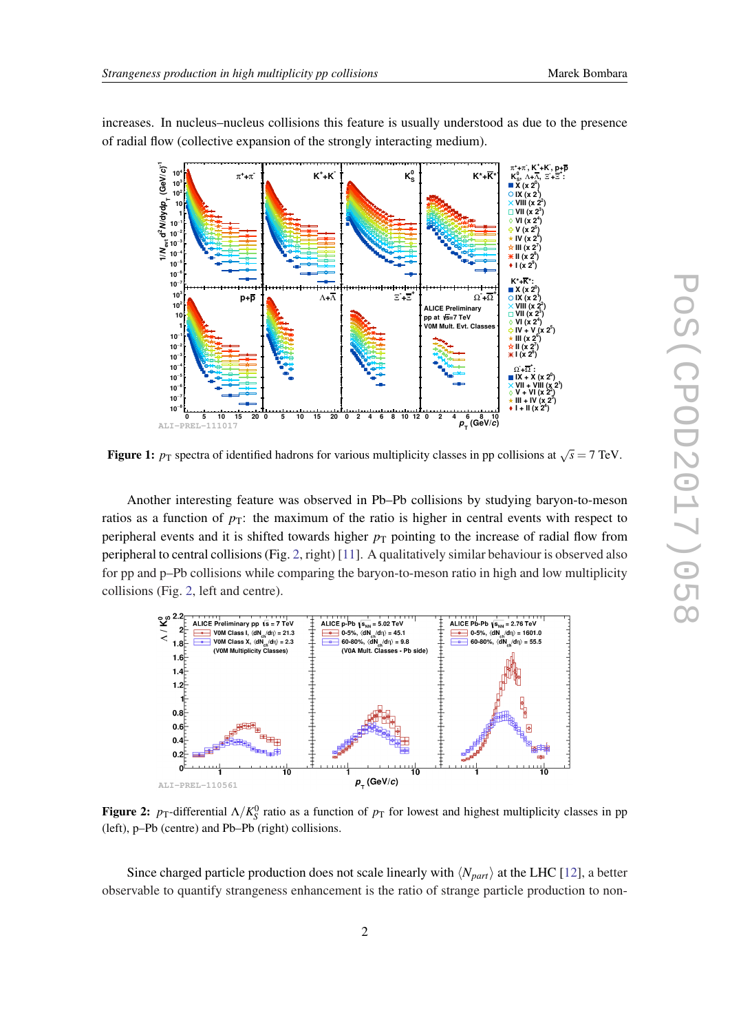

<span id="page-2-0"></span>increases. In nucleus–nucleus collisions this feature is usually understood as due to the presence of radial flow (collective expansion of the strongly interacting medium).

**Figure 1:**  $p_T$  spectra of identified hadrons for various multiplicity classes in pp collisions at  $\sqrt{s} = 7$  TeV.

Another interesting feature was observed in Pb–Pb collisions by studying baryon-to-meson ratios as a function of  $p_T$ : the maximum of the ratio is higher in central events with respect to peripheral events and it is shifted towards higher  $p<sub>T</sub>$  pointing to the increase of radial flow from peripheral to central collisions (Fig. 2, right) [\[11](#page-5-0)]. A qualitatively similar behaviour is observed also for pp and p–Pb collisions while comparing the baryon-to-meson ratio in high and low multiplicity collisions (Fig. 2, left and centre).



Figure 2:  $p_T$ -differential  $\Lambda/K_S^0$  ratio as a function of  $p_T$  for lowest and highest multiplicity classes in pp (left), p–Pb (centre) and Pb–Pb (right) collisions.

Since charged particle production does not scale linearly with  $\langle N_{part} \rangle$  at the LHC [[12\]](#page-5-0), a better observable to quantify strangeness enhancement is the ratio of strange particle production to non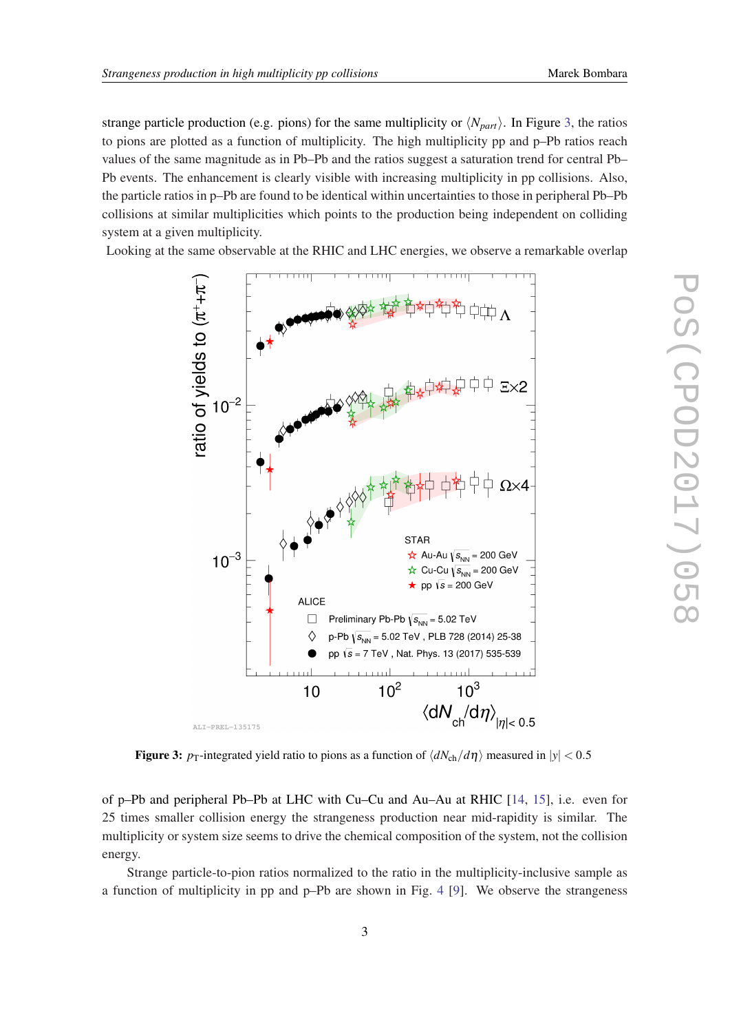strange particle production (e.g. pions) for the same multiplicity or  $\langle N_{part} \rangle$ . In Figure 3, the ratios to pions are plotted as a function of multiplicity. The high multiplicity pp and p–Pb ratios reach values of the same magnitude as in Pb–Pb and the ratios suggest a saturation trend for central Pb– Pb events. The enhancement is clearly visible with increasing multiplicity in pp collisions. Also, the particle ratios in p–Pb are found to be identical within uncertainties to those in peripheral Pb–Pb collisions at similar multiplicities which points to the production being independent on colliding system at a given multiplicity.

Looking at the same observable at the RHIC and LHC energies, we observe a remarkable overlap



Figure 3:  $p_T$ -integrated yield ratio to pions as a function of  $\langle dN_{ch}/d\eta \rangle$  measured in  $|y| < 0.5$ 

of p–Pb and peripheral Pb–Pb at LHC with Cu–Cu and Au–Au at RHIC [\[14,](#page-5-0) [15](#page-5-0)], i.e. even for 25 times smaller collision energy the strangeness production near mid-rapidity is similar. The multiplicity or system size seems to drive the chemical composition of the system, not the collision energy.

Strange particle-to-pion ratios normalized to the ratio in the multiplicity-inclusive sample as a function of multiplicity in pp and p–Pb are shown in Fig. [4](#page-4-0) [[9](#page-5-0)]. We observe the strangeness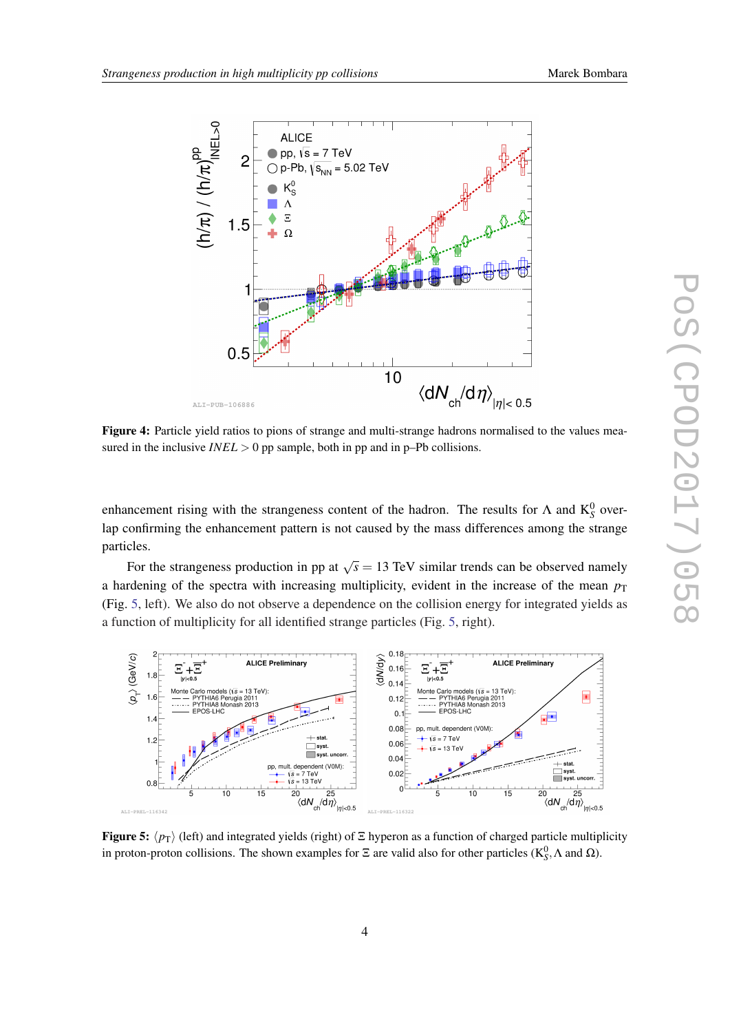<span id="page-4-0"></span>

Figure 4: Particle yield ratios to pions of strange and multi-strange hadrons normalised to the values measured in the inclusive  $INEL > 0$  pp sample, both in pp and in p–Pb collisions.

enhancement rising with the strangeness content of the hadron. The results for  $\Lambda$  and  $K_S^0$  overlap confirming the enhancement pattern is not caused by the mass differences among the strange particles.

For the strangeness production in pp at  $\sqrt{s} = 13$  TeV similar trends can be observed namely a hardening of the spectra with increasing multiplicity, evident in the increase of the mean  $p<sub>T</sub>$ (Fig. 5, left). We also do not observe a dependence on the collision energy for integrated yields as a function of multiplicity for all identified strange particles (Fig. 5, right).



Figure 5:  $\langle p_T \rangle$  (left) and integrated yields (right) of  $\Xi$  hyperon as a function of charged particle multiplicity in proton-proton collisions. The shown examples for  $\Xi$  are valid also for other particles ( $K_S^0$ ,  $\Lambda$  and  $\Omega$ ).